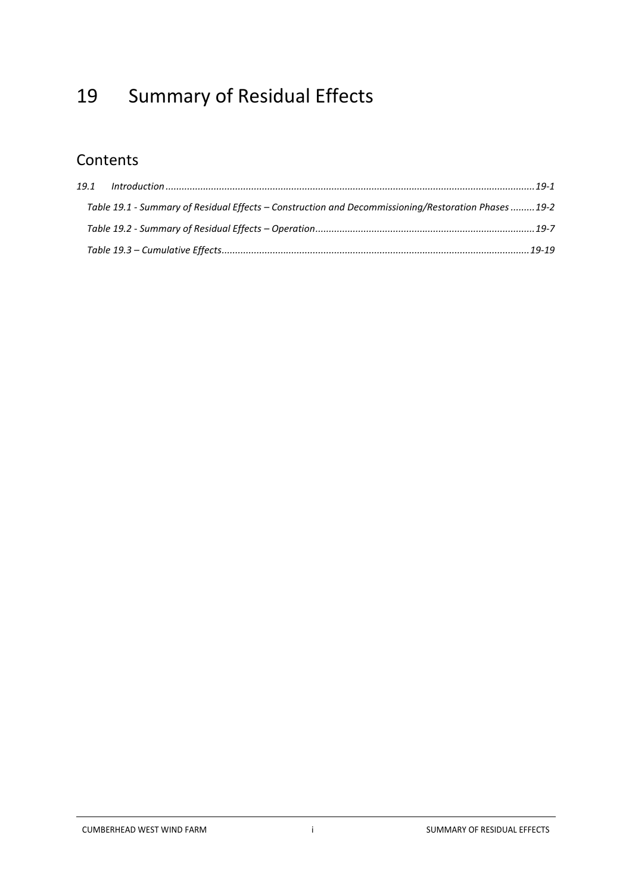# 19 Summary of Residual Effects

## Contents

| Table 19.1 - Summary of Residual Effects – Construction and Decommissioning/Restoration Phases 19-2 |  |
|-----------------------------------------------------------------------------------------------------|--|
|                                                                                                     |  |
|                                                                                                     |  |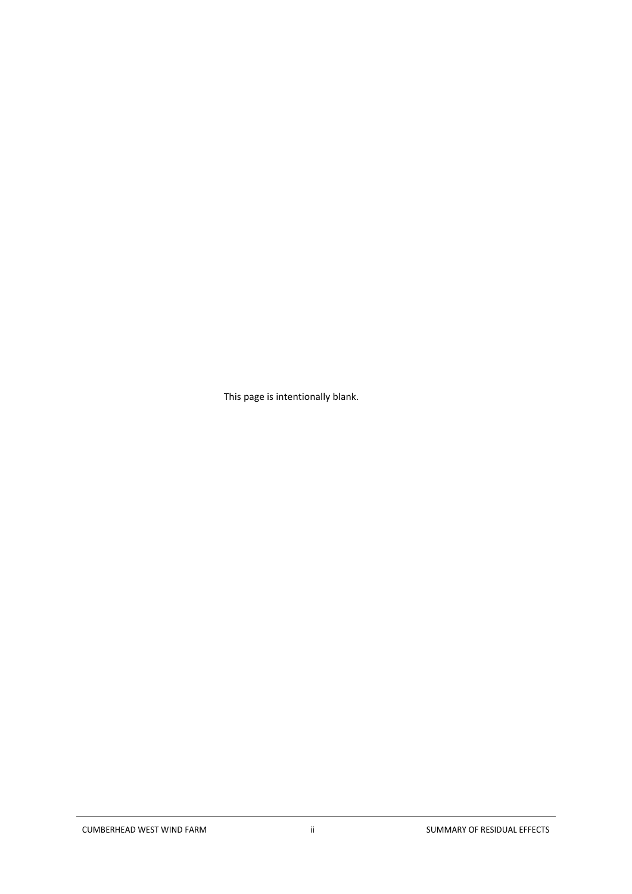This page is intentionally blank.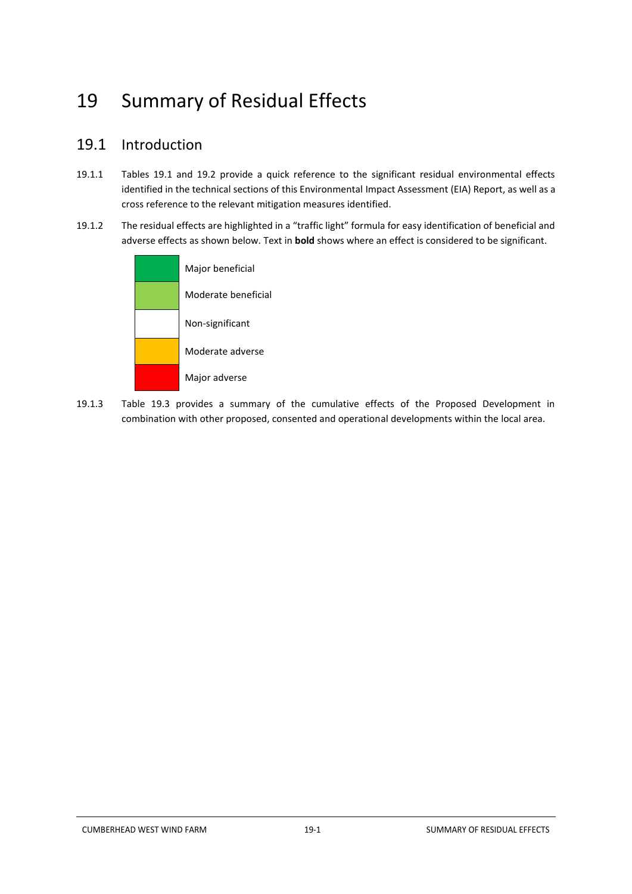## 19 Summary of Residual Effects

## <span id="page-2-0"></span>19.1 Introduction

- 19.1.1 Tables 19.1 and 19.2 provide a quick reference to the significant residual environmental effects identified in the technical sections of this Environmental Impact Assessment (EIA) Report, as well as a cross reference to the relevant mitigation measures identified.
- 19.1.2 The residual effects are highlighted in a "traffic light" formula for easy identification of beneficial and adverse effects as shown below. Text in **bold** shows where an effect is considered to be significant.



19.1.3 Table 19.3 provides a summary of the cumulative effects of the Proposed Development in combination with other proposed, consented and operational developments within the local area.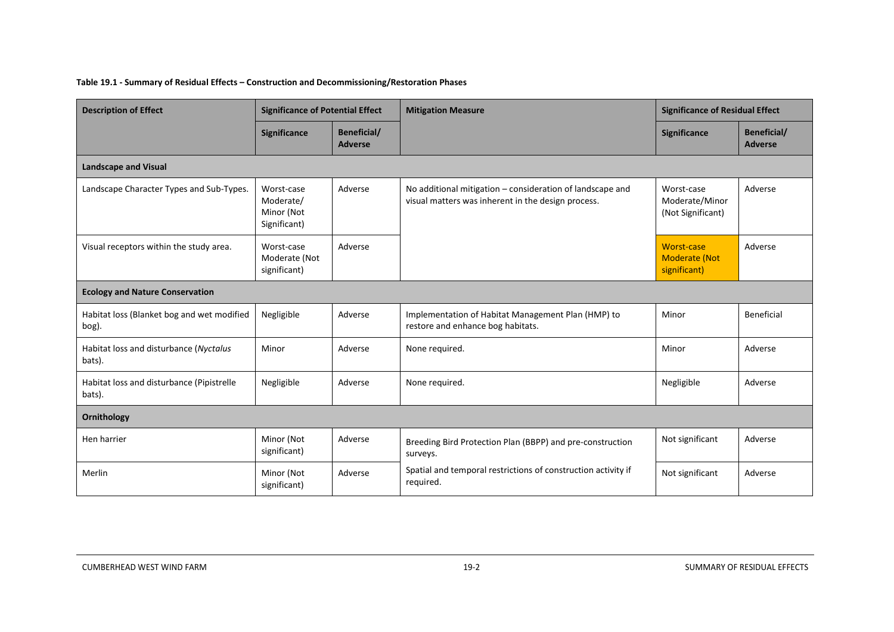### **Table 19.1 - Summary of Residual Effects – Construction and Decommissioning/Restoration Phases**

<span id="page-3-0"></span>

| <b>Description of Effect</b>                        | <b>Significance of Potential Effect</b>               |                               | <b>Mitigation Measure</b>                                                                                       | <b>Significance of Residual Effect</b>             |                               |
|-----------------------------------------------------|-------------------------------------------------------|-------------------------------|-----------------------------------------------------------------------------------------------------------------|----------------------------------------------------|-------------------------------|
|                                                     | Significance                                          | Beneficial/<br><b>Adverse</b> |                                                                                                                 | Significance                                       | Beneficial/<br><b>Adverse</b> |
| <b>Landscape and Visual</b>                         |                                                       |                               |                                                                                                                 |                                                    |                               |
| Landscape Character Types and Sub-Types.            | Worst-case<br>Moderate/<br>Minor (Not<br>Significant) | Adverse                       | No additional mitigation - consideration of landscape and<br>visual matters was inherent in the design process. | Worst-case<br>Moderate/Minor<br>(Not Significant)  | Adverse                       |
| Visual receptors within the study area.             | Worst-case<br>Moderate (Not<br>significant)           | Adverse                       |                                                                                                                 | Worst-case<br><b>Moderate (Not</b><br>significant) | Adverse                       |
| <b>Ecology and Nature Conservation</b>              |                                                       |                               |                                                                                                                 |                                                    |                               |
| Habitat loss (Blanket bog and wet modified<br>bog). | Negligible                                            | Adverse                       | Implementation of Habitat Management Plan (HMP) to<br>restore and enhance bog habitats.                         | Minor                                              | Beneficial                    |
| Habitat loss and disturbance (Nyctalus<br>bats).    | Minor                                                 | Adverse                       | None required.                                                                                                  | Minor                                              | Adverse                       |
| Habitat loss and disturbance (Pipistrelle<br>bats). | Negligible                                            | Adverse                       | None required.                                                                                                  | Negligible                                         | Adverse                       |
| Ornithology                                         |                                                       |                               |                                                                                                                 |                                                    |                               |
| Hen harrier                                         | Minor (Not<br>significant)                            | Adverse                       | Breeding Bird Protection Plan (BBPP) and pre-construction<br>surveys.                                           | Not significant                                    | Adverse                       |
| Merlin                                              | Minor (Not<br>significant)                            | Adverse                       | Spatial and temporal restrictions of construction activity if<br>required.                                      | Not significant                                    | Adverse                       |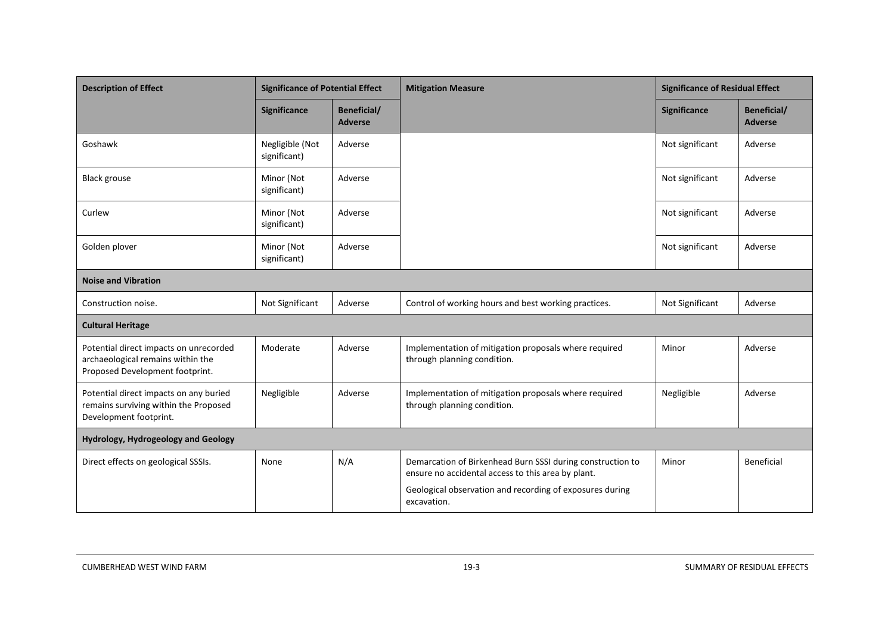| <b>Description of Effect</b>                                                                                   | <b>Significance of Potential Effect</b> |                               | <b>Mitigation Measure</b>                                                                                                                                                                   | <b>Significance of Residual Effect</b> |                               |  |  |  |
|----------------------------------------------------------------------------------------------------------------|-----------------------------------------|-------------------------------|---------------------------------------------------------------------------------------------------------------------------------------------------------------------------------------------|----------------------------------------|-------------------------------|--|--|--|
|                                                                                                                | Significance                            | Beneficial/<br><b>Adverse</b> |                                                                                                                                                                                             | Significance                           | Beneficial/<br><b>Adverse</b> |  |  |  |
| Goshawk                                                                                                        | Negligible (Not<br>significant)         | Adverse                       |                                                                                                                                                                                             | Not significant                        | Adverse                       |  |  |  |
| <b>Black grouse</b>                                                                                            | Minor (Not<br>significant)              | Adverse                       |                                                                                                                                                                                             | Not significant                        | Adverse                       |  |  |  |
| Curlew                                                                                                         | Minor (Not<br>significant)              | Adverse                       |                                                                                                                                                                                             | Not significant                        | Adverse                       |  |  |  |
| Golden plover                                                                                                  | Minor (Not<br>significant)              | Adverse                       |                                                                                                                                                                                             | Not significant                        | Adverse                       |  |  |  |
| <b>Noise and Vibration</b>                                                                                     |                                         |                               |                                                                                                                                                                                             |                                        |                               |  |  |  |
| Construction noise.                                                                                            | Not Significant                         | Adverse                       | Control of working hours and best working practices.                                                                                                                                        | Not Significant                        | Adverse                       |  |  |  |
| <b>Cultural Heritage</b>                                                                                       |                                         |                               |                                                                                                                                                                                             |                                        |                               |  |  |  |
| Potential direct impacts on unrecorded<br>archaeological remains within the<br>Proposed Development footprint. | Moderate                                | Adverse                       | Implementation of mitigation proposals where required<br>through planning condition.                                                                                                        | Minor                                  | Adverse                       |  |  |  |
| Potential direct impacts on any buried<br>remains surviving within the Proposed<br>Development footprint.      | Negligible                              | Adverse                       | Implementation of mitigation proposals where required<br>through planning condition.                                                                                                        | Negligible                             | Adverse                       |  |  |  |
| Hydrology, Hydrogeology and Geology                                                                            |                                         |                               |                                                                                                                                                                                             |                                        |                               |  |  |  |
| Direct effects on geological SSSIs.                                                                            | None                                    | N/A                           | Demarcation of Birkenhead Burn SSSI during construction to<br>ensure no accidental access to this area by plant.<br>Geological observation and recording of exposures during<br>excavation. | Minor                                  | Beneficial                    |  |  |  |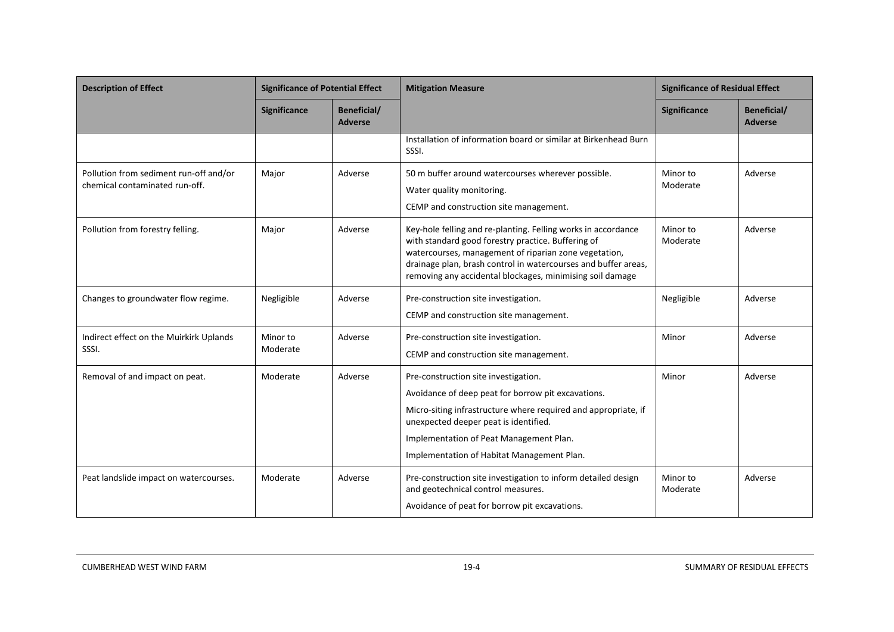| <b>Description of Effect</b>                                             | <b>Significance of Potential Effect</b> |                               | <b>Mitigation Measure</b>                                                                                                                                                                                                                                                                                   | <b>Significance of Residual Effect</b> |                               |
|--------------------------------------------------------------------------|-----------------------------------------|-------------------------------|-------------------------------------------------------------------------------------------------------------------------------------------------------------------------------------------------------------------------------------------------------------------------------------------------------------|----------------------------------------|-------------------------------|
|                                                                          | Significance                            | Beneficial/<br><b>Adverse</b> |                                                                                                                                                                                                                                                                                                             | Significance                           | Beneficial/<br><b>Adverse</b> |
|                                                                          |                                         |                               | Installation of information board or similar at Birkenhead Burn<br>SSSI.                                                                                                                                                                                                                                    |                                        |                               |
| Pollution from sediment run-off and/or<br>chemical contaminated run-off. | Major                                   | Adverse                       | 50 m buffer around watercourses wherever possible.<br>Water quality monitoring.<br>CEMP and construction site management.                                                                                                                                                                                   | Minor to<br>Moderate                   | Adverse                       |
| Pollution from forestry felling.                                         | Major                                   | Adverse                       | Key-hole felling and re-planting. Felling works in accordance<br>with standard good forestry practice. Buffering of<br>watercourses, management of riparian zone vegetation,<br>drainage plan, brash control in watercourses and buffer areas,<br>removing any accidental blockages, minimising soil damage | Minor to<br>Moderate                   | Adverse                       |
| Changes to groundwater flow regime.                                      | Negligible                              | Adverse                       | Pre-construction site investigation.<br>CEMP and construction site management.                                                                                                                                                                                                                              | Negligible                             | Adverse                       |
| Indirect effect on the Muirkirk Uplands<br>SSSI.                         | Minor to<br>Moderate                    | Adverse                       | Pre-construction site investigation.<br>CEMP and construction site management.                                                                                                                                                                                                                              | Minor                                  | Adverse                       |
| Removal of and impact on peat.                                           | Moderate                                | Adverse                       | Pre-construction site investigation.<br>Avoidance of deep peat for borrow pit excavations.<br>Micro-siting infrastructure where required and appropriate, if<br>unexpected deeper peat is identified.<br>Implementation of Peat Management Plan.<br>Implementation of Habitat Management Plan.              | Minor                                  | Adverse                       |
| Peat landslide impact on watercourses.                                   | Moderate                                | Adverse                       | Pre-construction site investigation to inform detailed design<br>and geotechnical control measures.<br>Avoidance of peat for borrow pit excavations.                                                                                                                                                        | Minor to<br>Moderate                   | Adverse                       |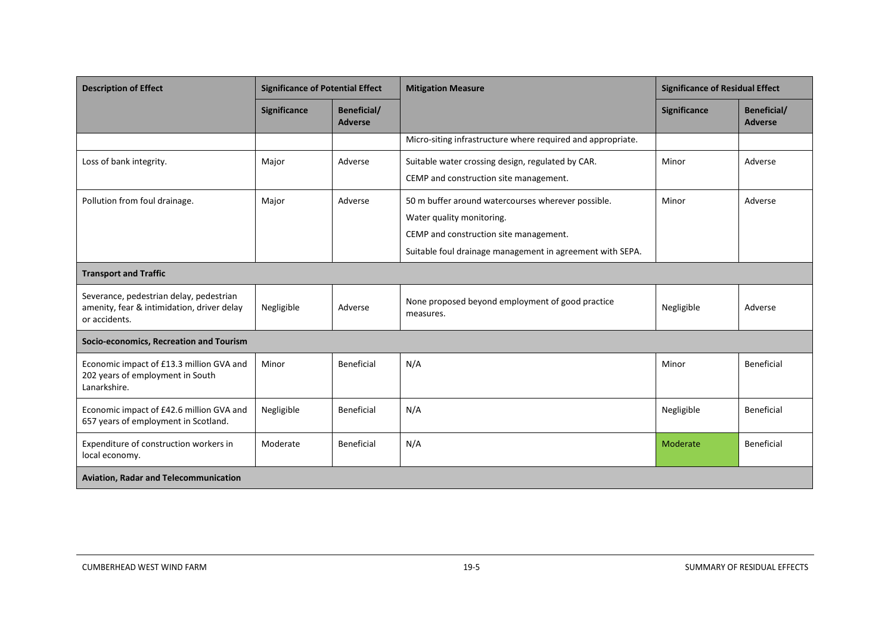| <b>Description of Effect</b>                                                                           | <b>Significance of Potential Effect</b> |                               | <b>Mitigation Measure</b>                                                                                                                                                              | <b>Significance of Residual Effect</b> |                               |
|--------------------------------------------------------------------------------------------------------|-----------------------------------------|-------------------------------|----------------------------------------------------------------------------------------------------------------------------------------------------------------------------------------|----------------------------------------|-------------------------------|
|                                                                                                        | <b>Significance</b>                     | Beneficial/<br><b>Adverse</b> |                                                                                                                                                                                        | <b>Significance</b>                    | Beneficial/<br><b>Adverse</b> |
|                                                                                                        |                                         |                               | Micro-siting infrastructure where required and appropriate.                                                                                                                            |                                        |                               |
| Loss of bank integrity.                                                                                | Major                                   | Adverse                       | Suitable water crossing design, regulated by CAR.<br>CEMP and construction site management.                                                                                            | Minor                                  | Adverse                       |
| Pollution from foul drainage.                                                                          | Major                                   | Adverse                       | 50 m buffer around watercourses wherever possible.<br>Water quality monitoring.<br>CEMP and construction site management.<br>Suitable foul drainage management in agreement with SEPA. | Minor                                  | Adverse                       |
| <b>Transport and Traffic</b>                                                                           |                                         |                               |                                                                                                                                                                                        |                                        |                               |
| Severance, pedestrian delay, pedestrian<br>amenity, fear & intimidation, driver delay<br>or accidents. | Negligible                              | Adverse                       | None proposed beyond employment of good practice<br>measures.                                                                                                                          | Negligible                             | Adverse                       |
| Socio-economics, Recreation and Tourism                                                                |                                         |                               |                                                                                                                                                                                        |                                        |                               |
| Economic impact of £13.3 million GVA and<br>202 years of employment in South<br>Lanarkshire.           | Minor                                   | <b>Beneficial</b>             | N/A                                                                                                                                                                                    | Minor                                  | Beneficial                    |
| Economic impact of £42.6 million GVA and<br>657 years of employment in Scotland.                       | Negligible                              | Beneficial                    | N/A                                                                                                                                                                                    | Negligible                             | Beneficial                    |
| Expenditure of construction workers in<br>local economy.                                               | Moderate                                | <b>Beneficial</b>             | N/A                                                                                                                                                                                    | Moderate                               | Beneficial                    |
| Aviation, Radar and Telecommunication                                                                  |                                         |                               |                                                                                                                                                                                        |                                        |                               |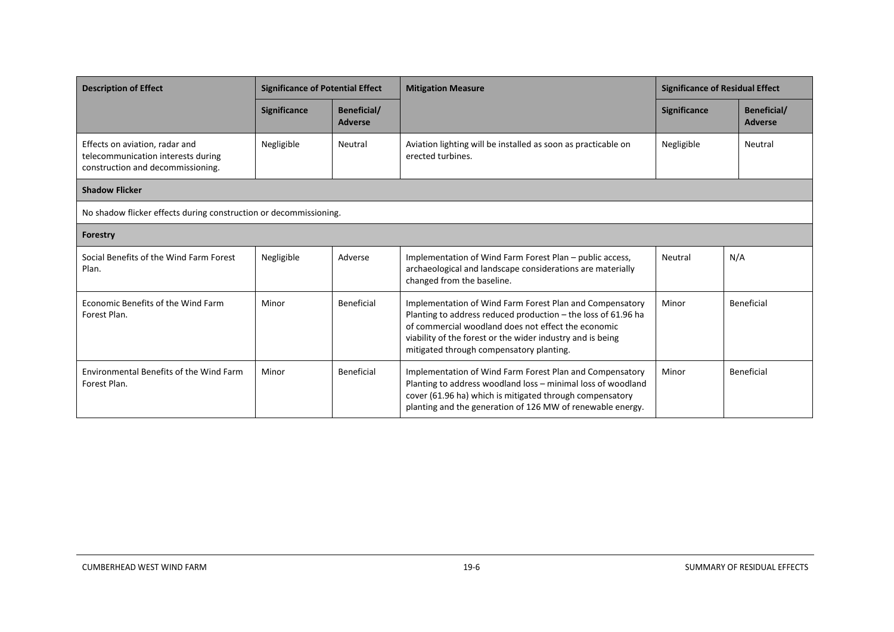| <b>Description of Effect</b>                                                                              | <b>Significance of Potential Effect</b> |                               | <b>Mitigation Measure</b>                                                                                                                                                                                                                                                                  | <b>Significance of Residual Effect</b> |                               |  |  |  |
|-----------------------------------------------------------------------------------------------------------|-----------------------------------------|-------------------------------|--------------------------------------------------------------------------------------------------------------------------------------------------------------------------------------------------------------------------------------------------------------------------------------------|----------------------------------------|-------------------------------|--|--|--|
|                                                                                                           | Significance                            | Beneficial/<br><b>Adverse</b> |                                                                                                                                                                                                                                                                                            | Significance                           | Beneficial/<br><b>Adverse</b> |  |  |  |
| Effects on aviation, radar and<br>telecommunication interests during<br>construction and decommissioning. | Negligible                              | Neutral                       | Aviation lighting will be installed as soon as practicable on<br>erected turbines.                                                                                                                                                                                                         | Negligible                             | Neutral                       |  |  |  |
| <b>Shadow Flicker</b>                                                                                     |                                         |                               |                                                                                                                                                                                                                                                                                            |                                        |                               |  |  |  |
| No shadow flicker effects during construction or decommissioning.                                         |                                         |                               |                                                                                                                                                                                                                                                                                            |                                        |                               |  |  |  |
| <b>Forestry</b>                                                                                           |                                         |                               |                                                                                                                                                                                                                                                                                            |                                        |                               |  |  |  |
| Social Benefits of the Wind Farm Forest<br>Plan.                                                          | Negligible                              | Adverse                       | Implementation of Wind Farm Forest Plan - public access,<br>archaeological and landscape considerations are materially<br>changed from the baseline.                                                                                                                                       | Neutral                                | N/A                           |  |  |  |
| Economic Benefits of the Wind Farm<br>Forest Plan.                                                        | Minor                                   | <b>Beneficial</b>             | Implementation of Wind Farm Forest Plan and Compensatory<br>Planting to address reduced production - the loss of 61.96 ha<br>of commercial woodland does not effect the economic<br>viability of the forest or the wider industry and is being<br>mitigated through compensatory planting. | Beneficial<br>Minor                    |                               |  |  |  |
| Environmental Benefits of the Wind Farm<br>Forest Plan.                                                   | Minor                                   | <b>Beneficial</b>             | Implementation of Wind Farm Forest Plan and Compensatory<br>Planting to address woodland loss - minimal loss of woodland<br>cover (61.96 ha) which is mitigated through compensatory<br>planting and the generation of 126 MW of renewable energy.                                         | Minor                                  | <b>Beneficial</b>             |  |  |  |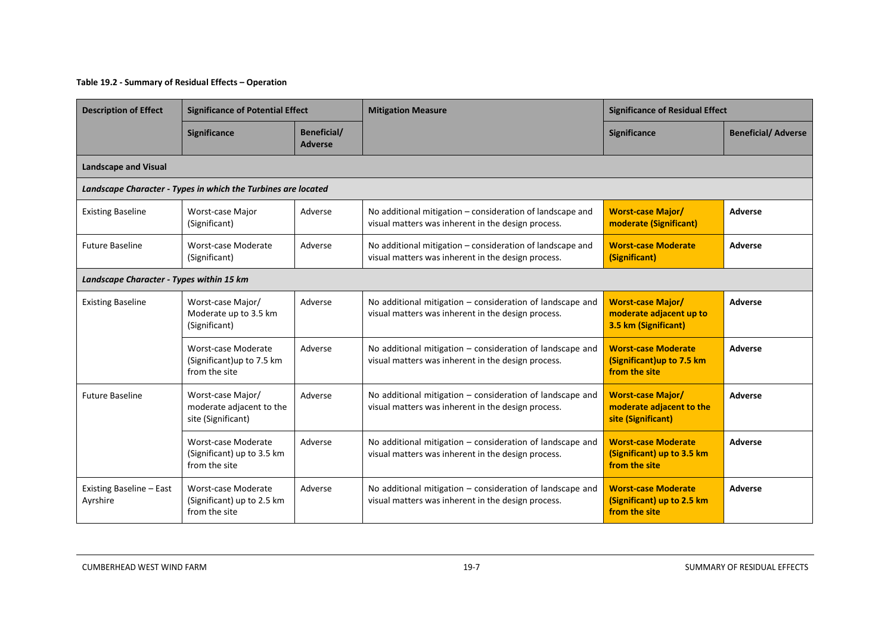### **Table 19.2 - Summary of Residual Effects – Operation**

<span id="page-8-0"></span>

| <b>Description of Effect</b>         | <b>Significance of Potential Effect</b>                             |                               | <b>Mitigation Measure</b>                                                                                         | <b>Significance of Residual Effect</b>                                      |                            |  |  |  |
|--------------------------------------|---------------------------------------------------------------------|-------------------------------|-------------------------------------------------------------------------------------------------------------------|-----------------------------------------------------------------------------|----------------------------|--|--|--|
|                                      | <b>Significance</b>                                                 | Beneficial/<br><b>Adverse</b> |                                                                                                                   | Significance                                                                | <b>Beneficial/ Adverse</b> |  |  |  |
| <b>Landscape and Visual</b>          |                                                                     |                               |                                                                                                                   |                                                                             |                            |  |  |  |
|                                      | Landscape Character - Types in which the Turbines are located       |                               |                                                                                                                   |                                                                             |                            |  |  |  |
| <b>Existing Baseline</b>             | Worst-case Major<br>(Significant)                                   | Adverse                       | No additional mitigation - consideration of landscape and<br>visual matters was inherent in the design process.   | <b>Worst-case Major/</b><br>moderate (Significant)                          | <b>Adverse</b>             |  |  |  |
| <b>Future Baseline</b>               | Worst-case Moderate<br>(Significant)                                | Adverse                       | No additional mitigation - consideration of landscape and<br>visual matters was inherent in the design process.   | <b>Worst-case Moderate</b><br>(Significant)                                 | <b>Adverse</b>             |  |  |  |
|                                      | Landscape Character - Types within 15 km                            |                               |                                                                                                                   |                                                                             |                            |  |  |  |
| <b>Existing Baseline</b>             | Worst-case Major/<br>Moderate up to 3.5 km<br>(Significant)         | Adverse                       | No additional mitigation - consideration of landscape and<br>visual matters was inherent in the design process.   | <b>Worst-case Major/</b><br>moderate adjacent up to<br>3.5 km (Significant) | <b>Adverse</b>             |  |  |  |
|                                      | Worst-case Moderate<br>(Significant) up to 7.5 km<br>from the site  | Adverse                       | No additional mitigation - consideration of landscape and<br>visual matters was inherent in the design process.   | <b>Worst-case Moderate</b><br>(Significant)up to 7.5 km<br>from the site    | <b>Adverse</b>             |  |  |  |
| <b>Future Baseline</b>               | Worst-case Major/<br>moderate adjacent to the<br>site (Significant) | Adverse                       | No additional mitigation $-$ consideration of landscape and<br>visual matters was inherent in the design process. | <b>Worst-case Major/</b><br>moderate adjacent to the<br>site (Significant)  | <b>Adverse</b>             |  |  |  |
|                                      | Worst-case Moderate<br>(Significant) up to 3.5 km<br>from the site  | Adverse                       | No additional mitigation - consideration of landscape and<br>visual matters was inherent in the design process.   | <b>Worst-case Moderate</b><br>(Significant) up to 3.5 km<br>from the site   | <b>Adverse</b>             |  |  |  |
| Existing Baseline - East<br>Ayrshire | Worst-case Moderate<br>(Significant) up to 2.5 km<br>from the site  | Adverse                       | No additional mitigation - consideration of landscape and<br>visual matters was inherent in the design process.   | <b>Worst-case Moderate</b><br>(Significant) up to 2.5 km<br>from the site   | <b>Adverse</b>             |  |  |  |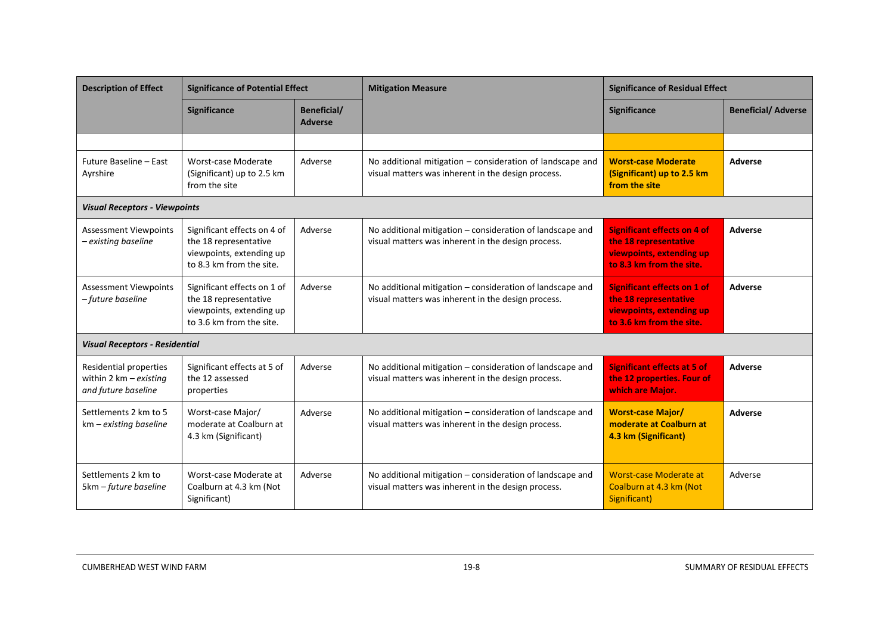| <b>Description of Effect</b>                                              | <b>Significance of Potential Effect</b>                                                                      |                                      | <b>Mitigation Measure</b>                                                                                         | <b>Significance of Residual Effect</b>                                                                              |                            |
|---------------------------------------------------------------------------|--------------------------------------------------------------------------------------------------------------|--------------------------------------|-------------------------------------------------------------------------------------------------------------------|---------------------------------------------------------------------------------------------------------------------|----------------------------|
|                                                                           | <b>Significance</b>                                                                                          | <b>Beneficial/</b><br><b>Adverse</b> |                                                                                                                   | Significance                                                                                                        | <b>Beneficial/ Adverse</b> |
|                                                                           |                                                                                                              |                                      |                                                                                                                   |                                                                                                                     |                            |
| Future Baseline - East<br>Avrshire                                        | Worst-case Moderate<br>(Significant) up to 2.5 km<br>from the site                                           | Adverse                              | No additional mitigation $-$ consideration of landscape and<br>visual matters was inherent in the design process. | <b>Worst-case Moderate</b><br>(Significant) up to 2.5 km<br>from the site                                           | <b>Adverse</b>             |
| <b>Visual Receptors - Viewpoints</b>                                      |                                                                                                              |                                      |                                                                                                                   |                                                                                                                     |                            |
| <b>Assessment Viewpoints</b><br>- existing baseline                       | Significant effects on 4 of<br>the 18 representative<br>viewpoints, extending up<br>to 8.3 km from the site. | Adverse                              | No additional mitigation - consideration of landscape and<br>visual matters was inherent in the design process.   | <b>Significant effects on 4 of</b><br>the 18 representative<br>viewpoints, extending up<br>to 8.3 km from the site. | <b>Adverse</b>             |
| <b>Assessment Viewpoints</b><br>- future baseline                         | Significant effects on 1 of<br>the 18 representative<br>viewpoints, extending up<br>to 3.6 km from the site. | Adverse                              | No additional mitigation - consideration of landscape and<br>visual matters was inherent in the design process.   | <b>Significant effects on 1 of</b><br>the 18 representative<br>viewpoints, extending up<br>to 3.6 km from the site. | <b>Adverse</b>             |
| <b>Visual Receptors - Residential</b>                                     |                                                                                                              |                                      |                                                                                                                   |                                                                                                                     |                            |
| Residential properties<br>within $2 km - existing$<br>and future baseline | Significant effects at 5 of<br>the 12 assessed<br>properties                                                 | Adverse                              | No additional mitigation - consideration of landscape and<br>visual matters was inherent in the design process.   | <b>Significant effects at 5 of</b><br>the 12 properties. Four of<br>which are Major.                                | <b>Adverse</b>             |
| Settlements 2 km to 5<br>$km - existing baseline$                         | Worst-case Major/<br>moderate at Coalburn at<br>4.3 km (Significant)                                         | Adverse                              | No additional mitigation - consideration of landscape and<br>visual matters was inherent in the design process.   | <b>Worst-case Major/</b><br>moderate at Coalburn at<br>4.3 km (Significant)                                         | <b>Adverse</b>             |
| Settlements 2 km to<br>5km - future baseline                              | Worst-case Moderate at<br>Coalburn at 4.3 km (Not<br>Significant)                                            | Adverse                              | No additional mitigation - consideration of landscape and<br>visual matters was inherent in the design process.   | <b>Worst-case Moderate at</b><br>Coalburn at 4.3 km (Not<br>Significant)                                            | Adverse                    |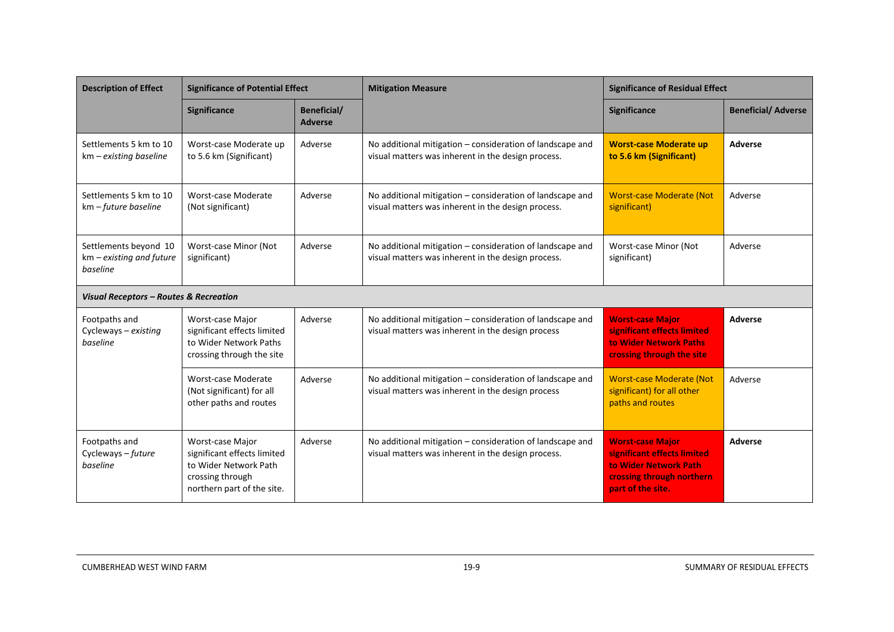| <b>Description of Effect</b>                                    | <b>Significance of Potential Effect</b>                                                                                    |                               | <b>Mitigation Measure</b>                                                                                       | <b>Significance of Residual Effect</b>                                                                                            |                            |
|-----------------------------------------------------------------|----------------------------------------------------------------------------------------------------------------------------|-------------------------------|-----------------------------------------------------------------------------------------------------------------|-----------------------------------------------------------------------------------------------------------------------------------|----------------------------|
|                                                                 | Significance                                                                                                               | Beneficial/<br><b>Adverse</b> |                                                                                                                 | Significance                                                                                                                      | <b>Beneficial/ Adverse</b> |
| Settlements 5 km to 10<br>$km - existing baseline$              | Worst-case Moderate up<br>to 5.6 km (Significant)                                                                          | Adverse                       | No additional mitigation - consideration of landscape and<br>visual matters was inherent in the design process. | <b>Worst-case Moderate up</b><br>to 5.6 km (Significant)                                                                          | Adverse                    |
| Settlements 5 km to 10<br>km - future baseline                  | Worst-case Moderate<br>(Not significant)                                                                                   | Adverse                       | No additional mitigation - consideration of landscape and<br>visual matters was inherent in the design process. | <b>Worst-case Moderate (Not</b><br>significant)                                                                                   | Adverse                    |
| Settlements beyond 10<br>$km - existing$ and future<br>baseline | Worst-case Minor (Not<br>significant)                                                                                      | Adverse                       | No additional mitigation - consideration of landscape and<br>visual matters was inherent in the design process. | Worst-case Minor (Not<br>significant)                                                                                             | Adverse                    |
| Visual Receptors - Routes & Recreation                          |                                                                                                                            |                               |                                                                                                                 |                                                                                                                                   |                            |
| Footpaths and<br>Cycleways - existing<br>baseline               | Worst-case Major<br>significant effects limited<br>to Wider Network Paths<br>crossing through the site                     | Adverse                       | No additional mitigation - consideration of landscape and<br>visual matters was inherent in the design process  | <b>Worst-case Major</b><br>significant effects limited<br>to Wider Network Paths<br>crossing through the site                     | <b>Adverse</b>             |
|                                                                 | Worst-case Moderate<br>(Not significant) for all<br>other paths and routes                                                 | Adverse                       | No additional mitigation - consideration of landscape and<br>visual matters was inherent in the design process  | <b>Worst-case Moderate (Not</b><br>significant) for all other<br>paths and routes                                                 | Adverse                    |
| Footpaths and<br>Cycleways - future<br>baseline                 | Worst-case Major<br>significant effects limited<br>to Wider Network Path<br>crossing through<br>northern part of the site. | Adverse                       | No additional mitigation - consideration of landscape and<br>visual matters was inherent in the design process. | <b>Worst-case Major</b><br>significant effects limited<br>to Wider Network Path<br>crossing through northern<br>part of the site. | <b>Adverse</b>             |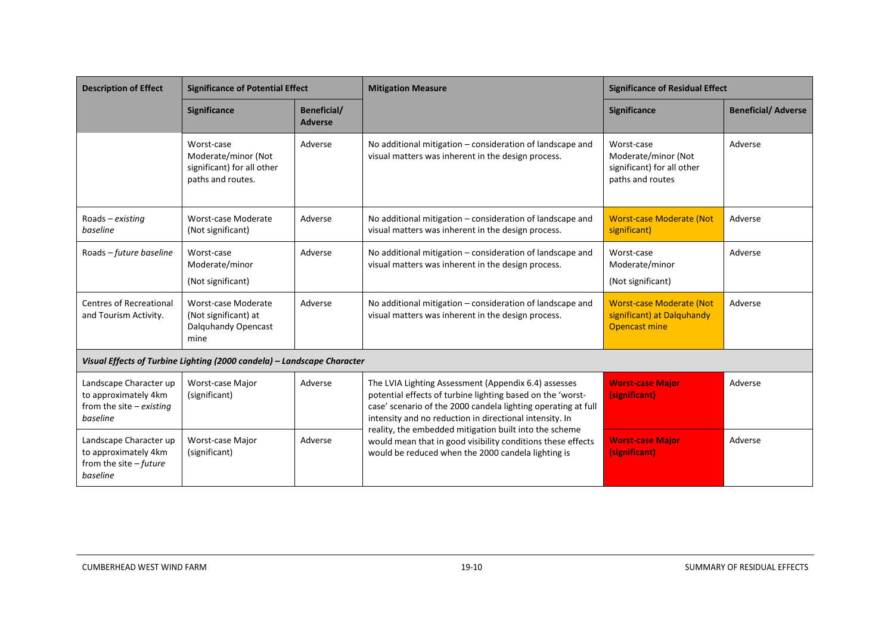| <b>Description of Effect</b>                                                            | <b>Significance of Potential Effect</b>                                              |                               | <b>Mitigation Measure</b>                                                                                                                                                                                                                      | <b>Significance of Residual Effect</b>                                                |                            |
|-----------------------------------------------------------------------------------------|--------------------------------------------------------------------------------------|-------------------------------|------------------------------------------------------------------------------------------------------------------------------------------------------------------------------------------------------------------------------------------------|---------------------------------------------------------------------------------------|----------------------------|
|                                                                                         | <b>Significance</b>                                                                  | Beneficial/<br><b>Adverse</b> |                                                                                                                                                                                                                                                | Significance                                                                          | <b>Beneficial/ Adverse</b> |
|                                                                                         | Worst-case<br>Moderate/minor (Not<br>significant) for all other<br>paths and routes. | Adverse                       | No additional mitigation - consideration of landscape and<br>visual matters was inherent in the design process.                                                                                                                                | Worst-case<br>Moderate/minor (Not<br>significant) for all other<br>paths and routes   | Adverse                    |
| Roads $-$ existing<br>baseline                                                          | Worst-case Moderate<br>(Not significant)                                             | Adverse                       | No additional mitigation - consideration of landscape and<br>visual matters was inherent in the design process.                                                                                                                                | <b>Worst-case Moderate (Not</b><br>significant)                                       | Adverse                    |
| Roads-future baseline                                                                   | Worst-case<br>Moderate/minor<br>(Not significant)                                    | Adverse                       | No additional mitigation - consideration of landscape and<br>visual matters was inherent in the design process.                                                                                                                                | Worst-case<br>Moderate/minor<br>(Not significant)                                     | Adverse                    |
| <b>Centres of Recreational</b><br>and Tourism Activity.                                 | Worst-case Moderate<br>(Not significant) at<br>Dalguhandy Opencast<br>mine           | Adverse                       | No additional mitigation - consideration of landscape and<br>visual matters was inherent in the design process.                                                                                                                                | <b>Worst-case Moderate (Not</b><br>significant) at Dalquhandy<br><b>Opencast mine</b> | Adverse                    |
|                                                                                         | Visual Effects of Turbine Lighting (2000 candela) - Landscape Character              |                               |                                                                                                                                                                                                                                                |                                                                                       |                            |
| Landscape Character up<br>to approximately 4km<br>from the site $-existing$<br>baseline | Worst-case Major<br>(significant)                                                    | Adverse                       | The LVIA Lighting Assessment (Appendix 6.4) assesses<br>potential effects of turbine lighting based on the 'worst-<br>case' scenario of the 2000 candela lighting operating at full<br>intensity and no reduction in directional intensity. In | <b>Worst-case Major</b><br>(significant)                                              | Adverse                    |
| Landscape Character up<br>to approximately 4km<br>from the site $-future$<br>baseline   | Worst-case Major<br>(significant)                                                    | Adverse                       | reality, the embedded mitigation built into the scheme<br>would mean that in good visibility conditions these effects<br>would be reduced when the 2000 candela lighting is                                                                    | <b>Worst-case Major</b><br>(significant)                                              | Adverse                    |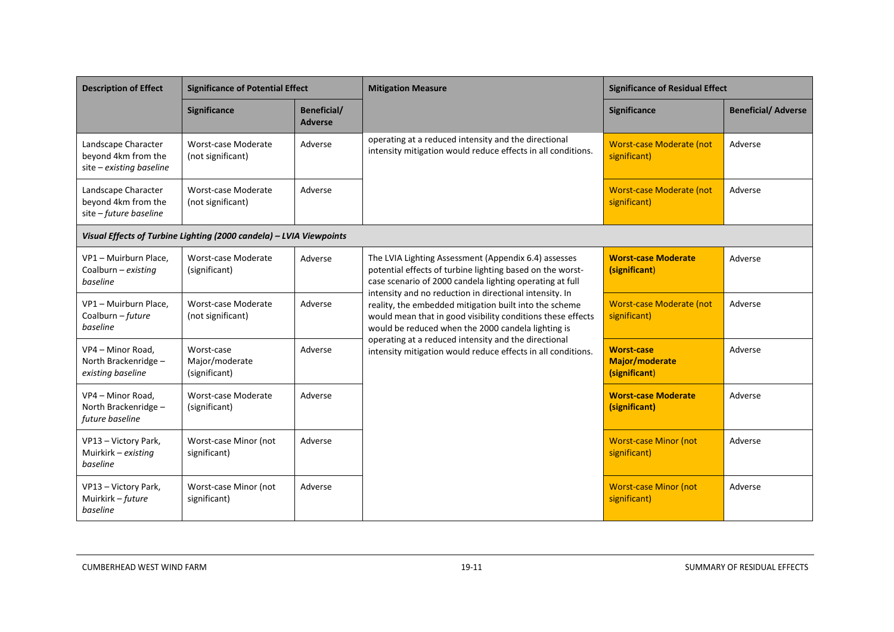| <b>Description of Effect</b>                                             | <b>Significance of Potential Effect</b>                             |                               | <b>Mitigation Measure</b>                                                                                                                                                                                                                                                                                                                                                                                                                                                                                                                       | <b>Significance of Residual Effect</b>                      |                            |
|--------------------------------------------------------------------------|---------------------------------------------------------------------|-------------------------------|-------------------------------------------------------------------------------------------------------------------------------------------------------------------------------------------------------------------------------------------------------------------------------------------------------------------------------------------------------------------------------------------------------------------------------------------------------------------------------------------------------------------------------------------------|-------------------------------------------------------------|----------------------------|
|                                                                          | <b>Significance</b>                                                 | Beneficial/<br><b>Adverse</b> |                                                                                                                                                                                                                                                                                                                                                                                                                                                                                                                                                 | Significance                                                | <b>Beneficial/ Adverse</b> |
| Landscape Character<br>beyond 4km from the<br>$site - existing baseline$ | Worst-case Moderate<br>(not significant)                            | Adverse                       | operating at a reduced intensity and the directional<br>intensity mitigation would reduce effects in all conditions.                                                                                                                                                                                                                                                                                                                                                                                                                            | <b>Worst-case Moderate (not</b><br>significant)             | Adverse                    |
| Landscape Character<br>beyond 4km from the<br>site - future baseline     | Worst-case Moderate<br>(not significant)                            | Adverse                       |                                                                                                                                                                                                                                                                                                                                                                                                                                                                                                                                                 | <b>Worst-case Moderate (not</b><br>significant)             | Adverse                    |
|                                                                          | Visual Effects of Turbine Lighting (2000 candela) - LVIA Viewpoints |                               |                                                                                                                                                                                                                                                                                                                                                                                                                                                                                                                                                 |                                                             |                            |
| VP1 - Muirburn Place,<br>Coalburn - existing<br>baseline                 | Worst-case Moderate<br>(significant)                                | Adverse                       | The LVIA Lighting Assessment (Appendix 6.4) assesses<br>potential effects of turbine lighting based on the worst-<br>case scenario of 2000 candela lighting operating at full<br>intensity and no reduction in directional intensity. In<br>reality, the embedded mitigation built into the scheme<br>would mean that in good visibility conditions these effects<br>would be reduced when the 2000 candela lighting is<br>operating at a reduced intensity and the directional<br>intensity mitigation would reduce effects in all conditions. | <b>Worst-case Moderate</b><br>(significant)                 | Adverse                    |
| VP1 - Muirburn Place,<br>Coalburn - future<br>baseline                   | Worst-case Moderate<br>(not significant)                            | Adverse                       |                                                                                                                                                                                                                                                                                                                                                                                                                                                                                                                                                 | <b>Worst-case Moderate (not</b><br>significant)             | Adverse                    |
| VP4 - Minor Road,<br>North Brackenridge -<br>existing baseline           | Worst-case<br>Major/moderate<br>(significant)                       | Adverse                       |                                                                                                                                                                                                                                                                                                                                                                                                                                                                                                                                                 | <b>Worst-case</b><br><b>Major/moderate</b><br>(significant) | Adverse                    |
| VP4 - Minor Road.<br>North Brackenridge -<br>future baseline             | Worst-case Moderate<br>(significant)                                | Adverse                       |                                                                                                                                                                                                                                                                                                                                                                                                                                                                                                                                                 | <b>Worst-case Moderate</b><br>(significant)                 | Adverse                    |
| VP13 - Victory Park,<br>Muirkirk - existing<br>baseline                  | Worst-case Minor (not<br>significant)                               | Adverse                       |                                                                                                                                                                                                                                                                                                                                                                                                                                                                                                                                                 | <b>Worst-case Minor (not</b><br>significant)                | Adverse                    |
| VP13 - Victory Park,<br>Muirkirk - future<br>baseline                    | Worst-case Minor (not<br>significant)                               | Adverse                       |                                                                                                                                                                                                                                                                                                                                                                                                                                                                                                                                                 | <b>Worst-case Minor (not</b><br>significant)                | Adverse                    |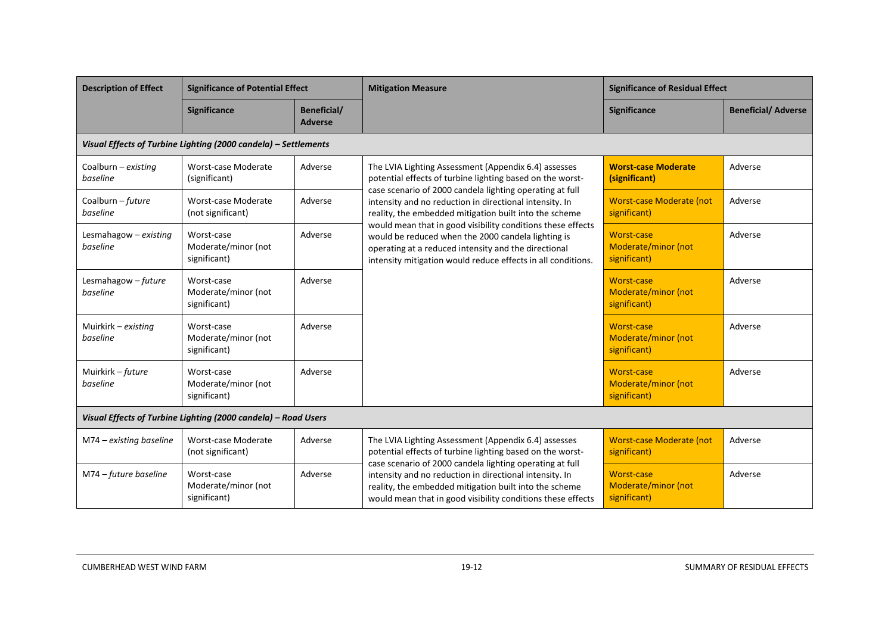| <b>Description of Effect</b>      | <b>Significance of Potential Effect</b>                         |                               | <b>Mitigation Measure</b>                                                                                                                                                                                                                    | <b>Significance of Residual Effect</b>                   |                           |
|-----------------------------------|-----------------------------------------------------------------|-------------------------------|----------------------------------------------------------------------------------------------------------------------------------------------------------------------------------------------------------------------------------------------|----------------------------------------------------------|---------------------------|
|                                   | <b>Significance</b>                                             | Beneficial/<br><b>Adverse</b> |                                                                                                                                                                                                                                              | Significance                                             | <b>Beneficial/Adverse</b> |
|                                   | Visual Effects of Turbine Lighting (2000 candela) - Settlements |                               |                                                                                                                                                                                                                                              |                                                          |                           |
| Coalburn - existing<br>baseline   | Worst-case Moderate<br>(significant)                            | Adverse                       | The LVIA Lighting Assessment (Appendix 6.4) assesses<br>potential effects of turbine lighting based on the worst-                                                                                                                            | <b>Worst-case Moderate</b><br>(significant)              | Adverse                   |
| Coalburn - future<br>baseline     | Worst-case Moderate<br>(not significant)                        | Adverse                       | case scenario of 2000 candela lighting operating at full<br>intensity and no reduction in directional intensity. In<br>reality, the embedded mitigation built into the scheme                                                                | <b>Worst-case Moderate (not</b><br>significant)          | Adverse                   |
| Lesmahagow - existing<br>baseline | Worst-case<br>Moderate/minor (not<br>significant)               | Adverse                       | would mean that in good visibility conditions these effects<br>would be reduced when the 2000 candela lighting is<br>operating at a reduced intensity and the directional<br>intensity mitigation would reduce effects in all conditions.    | Worst-case<br>Moderate/minor (not<br>significant)        | Adverse                   |
| Lesmahagow - future<br>baseline   | Worst-case<br>Moderate/minor (not<br>significant)               | Adverse                       |                                                                                                                                                                                                                                              | Worst-case<br>Moderate/minor (not<br>significant)        | Adverse                   |
| Muirkirk $-existing$<br>baseline  | Worst-case<br>Moderate/minor (not<br>significant)               | Adverse                       |                                                                                                                                                                                                                                              | <b>Worst-case</b><br>Moderate/minor (not<br>significant) | Adverse                   |
| Muirkirk - future<br>baseline     | Worst-case<br>Moderate/minor (not<br>significant)               | Adverse                       |                                                                                                                                                                                                                                              | Worst-case<br>Moderate/minor (not<br>significant)        | Adverse                   |
|                                   | Visual Effects of Turbine Lighting (2000 candela) - Road Users  |                               |                                                                                                                                                                                                                                              |                                                          |                           |
| $M74$ – existing baseline         | Worst-case Moderate<br>(not significant)                        | Adverse                       | The LVIA Lighting Assessment (Appendix 6.4) assesses<br>potential effects of turbine lighting based on the worst-                                                                                                                            | <b>Worst-case Moderate (not</b><br>significant)          | Adverse                   |
| M74 - future baseline             | Worst-case<br>Moderate/minor (not<br>significant)               | Adverse                       | case scenario of 2000 candela lighting operating at full<br>intensity and no reduction in directional intensity. In<br>reality, the embedded mitigation built into the scheme<br>would mean that in good visibility conditions these effects | Worst-case<br>Moderate/minor (not<br>significant)        | Adverse                   |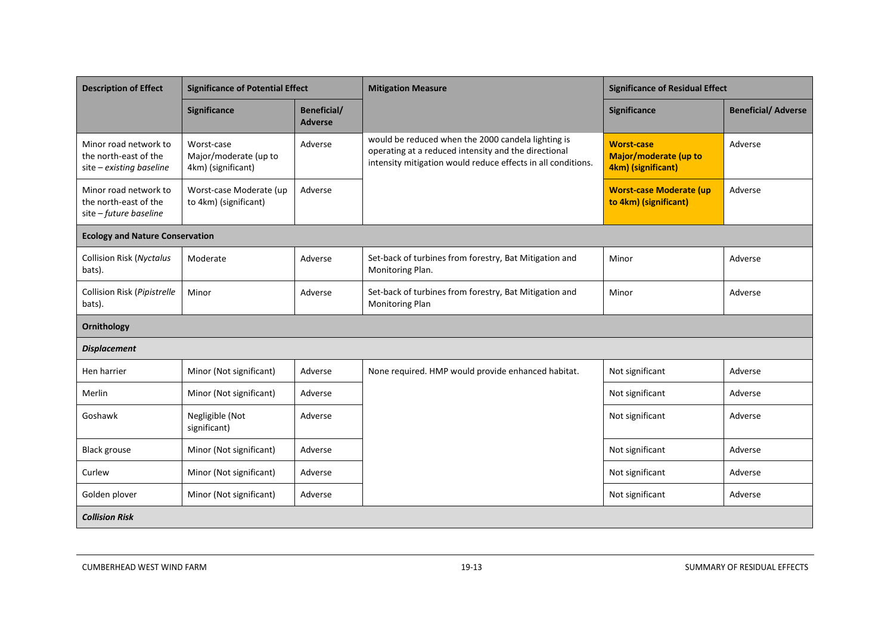| <b>Description of Effect</b>                                                 | <b>Significance of Potential Effect</b>                   |                                      | <b>Mitigation Measure</b>                                                                                                                                                  | <b>Significance of Residual Effect</b>                           |                           |
|------------------------------------------------------------------------------|-----------------------------------------------------------|--------------------------------------|----------------------------------------------------------------------------------------------------------------------------------------------------------------------------|------------------------------------------------------------------|---------------------------|
|                                                                              | Significance                                              | <b>Beneficial/</b><br><b>Adverse</b> |                                                                                                                                                                            | Significance                                                     | <b>Beneficial/Adverse</b> |
| Minor road network to<br>the north-east of the<br>$site - existing baseline$ | Worst-case<br>Major/moderate (up to<br>4km) (significant) | Adverse                              | would be reduced when the 2000 candela lighting is<br>operating at a reduced intensity and the directional<br>intensity mitigation would reduce effects in all conditions. | <b>Worst-case</b><br>Major/moderate (up to<br>4km) (significant) | Adverse                   |
| Minor road network to<br>the north-east of the<br>site - future baseline     | Worst-case Moderate (up<br>to 4km) (significant)          | Adverse                              |                                                                                                                                                                            | <b>Worst-case Moderate (up</b><br>to 4km) (significant)          | Adverse                   |
| <b>Ecology and Nature Conservation</b>                                       |                                                           |                                      |                                                                                                                                                                            |                                                                  |                           |
| <b>Collision Risk (Nyctalus</b><br>bats).                                    | Moderate                                                  | Adverse                              | Set-back of turbines from forestry, Bat Mitigation and<br>Monitoring Plan.                                                                                                 | Minor                                                            | Adverse                   |
| Collision Risk (Pipistrelle<br>bats).                                        | Minor                                                     | Adverse                              | Set-back of turbines from forestry, Bat Mitigation and<br><b>Monitoring Plan</b>                                                                                           | Minor                                                            | Adverse                   |
| <b>Ornithology</b>                                                           |                                                           |                                      |                                                                                                                                                                            |                                                                  |                           |
| <b>Displacement</b>                                                          |                                                           |                                      |                                                                                                                                                                            |                                                                  |                           |
| Hen harrier                                                                  | Minor (Not significant)                                   | Adverse                              | None required. HMP would provide enhanced habitat.                                                                                                                         | Not significant                                                  | Adverse                   |
| Merlin                                                                       | Minor (Not significant)                                   | Adverse                              |                                                                                                                                                                            | Not significant                                                  | Adverse                   |
| Goshawk                                                                      | Negligible (Not<br>significant)                           | Adverse                              |                                                                                                                                                                            | Not significant                                                  | Adverse                   |
| <b>Black grouse</b>                                                          | Minor (Not significant)                                   | Adverse                              |                                                                                                                                                                            | Not significant                                                  | Adverse                   |
| Curlew                                                                       | Minor (Not significant)                                   | Adverse                              |                                                                                                                                                                            | Not significant                                                  | Adverse                   |
| Golden plover                                                                | Minor (Not significant)                                   | Adverse                              |                                                                                                                                                                            | Not significant                                                  | Adverse                   |
| <b>Collision Risk</b>                                                        |                                                           |                                      |                                                                                                                                                                            |                                                                  |                           |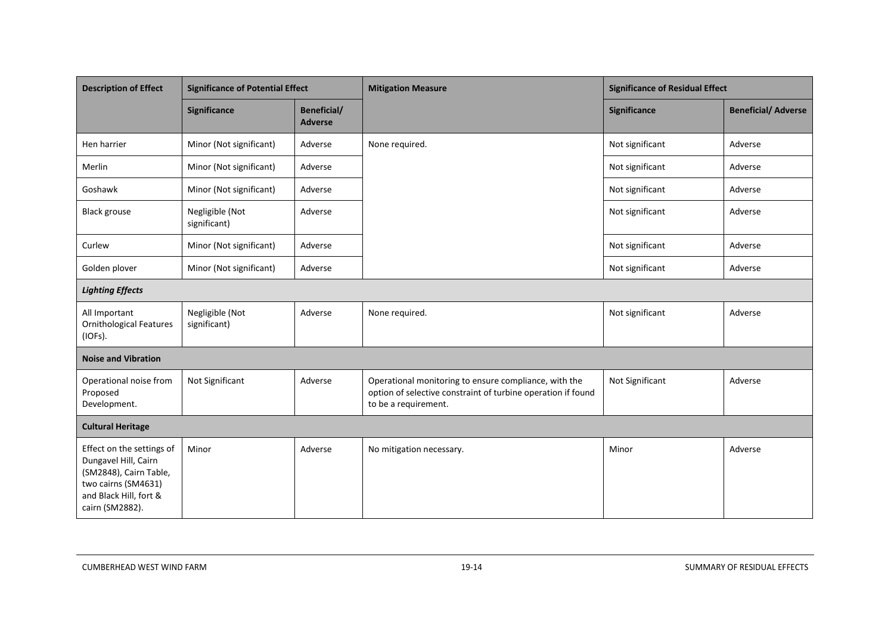| <b>Description of Effect</b>                                                                                                                    | <b>Significance of Potential Effect</b> |                                      | <b>Mitigation Measure</b>                                                                                                                     | <b>Significance of Residual Effect</b> |                            |
|-------------------------------------------------------------------------------------------------------------------------------------------------|-----------------------------------------|--------------------------------------|-----------------------------------------------------------------------------------------------------------------------------------------------|----------------------------------------|----------------------------|
|                                                                                                                                                 | Significance                            | <b>Beneficial/</b><br><b>Adverse</b> |                                                                                                                                               | Significance                           | <b>Beneficial/ Adverse</b> |
| Hen harrier                                                                                                                                     | Minor (Not significant)                 | Adverse                              | None required.                                                                                                                                | Not significant                        | Adverse                    |
| Merlin                                                                                                                                          | Minor (Not significant)                 | Adverse                              |                                                                                                                                               | Not significant                        | Adverse                    |
| Goshawk                                                                                                                                         | Minor (Not significant)                 | Adverse                              |                                                                                                                                               | Not significant                        | Adverse                    |
| <b>Black grouse</b>                                                                                                                             | Negligible (Not<br>significant)         | Adverse                              |                                                                                                                                               | Not significant                        | Adverse                    |
| Curlew                                                                                                                                          | Minor (Not significant)                 | Adverse                              |                                                                                                                                               | Not significant                        | Adverse                    |
| Golden plover                                                                                                                                   | Minor (Not significant)                 | Adverse                              |                                                                                                                                               | Not significant                        | Adverse                    |
| <b>Lighting Effects</b>                                                                                                                         |                                         |                                      |                                                                                                                                               |                                        |                            |
| All Important<br><b>Ornithological Features</b><br>(IOFs).                                                                                      | Negligible (Not<br>significant)         | Adverse                              | None required.                                                                                                                                | Not significant                        | Adverse                    |
| <b>Noise and Vibration</b>                                                                                                                      |                                         |                                      |                                                                                                                                               |                                        |                            |
| Operational noise from<br>Proposed<br>Development.                                                                                              | Not Significant                         | Adverse                              | Operational monitoring to ensure compliance, with the<br>option of selective constraint of turbine operation if found<br>to be a requirement. | Not Significant                        | Adverse                    |
| <b>Cultural Heritage</b>                                                                                                                        |                                         |                                      |                                                                                                                                               |                                        |                            |
| Effect on the settings of<br>Dungavel Hill, Cairn<br>(SM2848), Cairn Table,<br>two cairns (SM4631)<br>and Black Hill, fort &<br>cairn (SM2882). | Minor                                   | Adverse                              | No mitigation necessary.                                                                                                                      | Minor                                  | Adverse                    |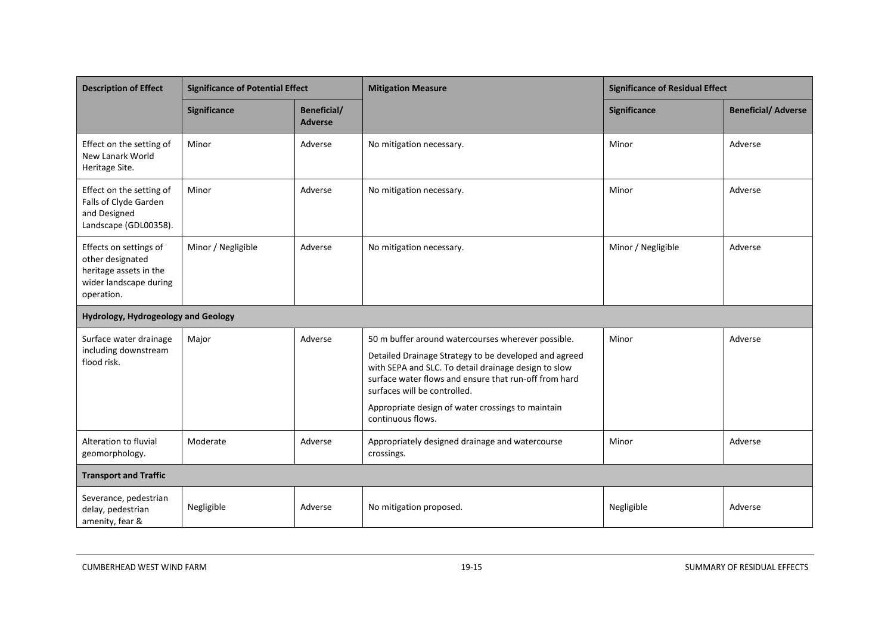| <b>Description of Effect</b>                                                                                 | <b>Significance of Potential Effect</b> |                               | <b>Significance of Residual Effect</b><br><b>Mitigation Measure</b>                                                                                                                                                                                                                                                                    |                    |                            |
|--------------------------------------------------------------------------------------------------------------|-----------------------------------------|-------------------------------|----------------------------------------------------------------------------------------------------------------------------------------------------------------------------------------------------------------------------------------------------------------------------------------------------------------------------------------|--------------------|----------------------------|
|                                                                                                              | Significance                            | Beneficial/<br><b>Adverse</b> |                                                                                                                                                                                                                                                                                                                                        | Significance       | <b>Beneficial/ Adverse</b> |
| Effect on the setting of<br>New Lanark World<br>Heritage Site.                                               | Minor                                   | Adverse                       | No mitigation necessary.                                                                                                                                                                                                                                                                                                               | Minor              | Adverse                    |
| Effect on the setting of<br>Falls of Clyde Garden<br>and Designed<br>Landscape (GDL00358).                   | Minor                                   | Adverse                       | No mitigation necessary.                                                                                                                                                                                                                                                                                                               | Minor              | Adverse                    |
| Effects on settings of<br>other designated<br>heritage assets in the<br>wider landscape during<br>operation. | Minor / Negligible                      | Adverse                       | No mitigation necessary.                                                                                                                                                                                                                                                                                                               | Minor / Negligible | Adverse                    |
| <b>Hydrology, Hydrogeology and Geology</b>                                                                   |                                         |                               |                                                                                                                                                                                                                                                                                                                                        |                    |                            |
| Surface water drainage<br>including downstream<br>flood risk.                                                | Major                                   | Adverse                       | 50 m buffer around watercourses wherever possible.<br>Detailed Drainage Strategy to be developed and agreed<br>with SEPA and SLC. To detail drainage design to slow<br>surface water flows and ensure that run-off from hard<br>surfaces will be controlled.<br>Appropriate design of water crossings to maintain<br>continuous flows. | Minor              | Adverse                    |
| Alteration to fluvial<br>geomorphology.                                                                      | Moderate                                | Adverse                       | Appropriately designed drainage and watercourse<br>crossings.                                                                                                                                                                                                                                                                          | Minor              | Adverse                    |
| <b>Transport and Traffic</b>                                                                                 |                                         |                               |                                                                                                                                                                                                                                                                                                                                        |                    |                            |
| Severance, pedestrian<br>delay, pedestrian<br>amenity, fear &                                                | Negligible                              | Adverse                       | No mitigation proposed.                                                                                                                                                                                                                                                                                                                | Negligible         | Adverse                    |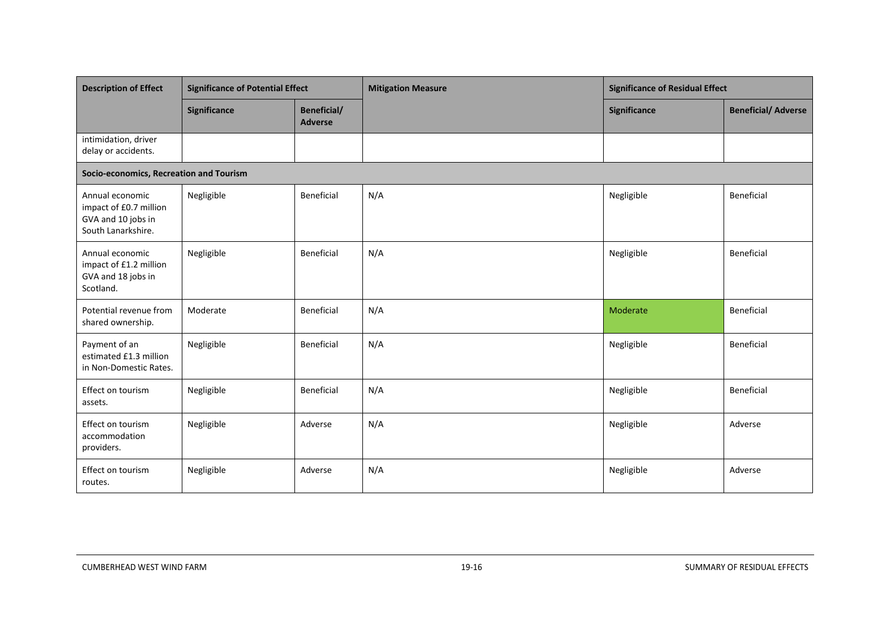| <b>Description of Effect</b>                                                          | <b>Significance of Potential Effect</b> |                                      | <b>Mitigation Measure</b> | <b>Significance of Residual Effect</b> |                            |
|---------------------------------------------------------------------------------------|-----------------------------------------|--------------------------------------|---------------------------|----------------------------------------|----------------------------|
|                                                                                       | Significance                            | <b>Beneficial/</b><br><b>Adverse</b> |                           | Significance                           | <b>Beneficial/ Adverse</b> |
| intimidation, driver<br>delay or accidents.                                           |                                         |                                      |                           |                                        |                            |
| Socio-economics, Recreation and Tourism                                               |                                         |                                      |                           |                                        |                            |
| Annual economic<br>impact of £0.7 million<br>GVA and 10 jobs in<br>South Lanarkshire. | Negligible                              | Beneficial                           | N/A                       | Negligible                             | Beneficial                 |
| Annual economic<br>impact of £1.2 million<br>GVA and 18 jobs in<br>Scotland.          | Negligible                              | Beneficial                           | N/A                       | Negligible                             | Beneficial                 |
| Potential revenue from<br>shared ownership.                                           | Moderate                                | Beneficial                           | N/A                       | Moderate                               | Beneficial                 |
| Payment of an<br>estimated £1.3 million<br>in Non-Domestic Rates.                     | Negligible                              | Beneficial                           | N/A                       | Negligible                             | Beneficial                 |
| Effect on tourism<br>assets.                                                          | Negligible                              | Beneficial                           | N/A                       | Negligible                             | Beneficial                 |
| Effect on tourism<br>accommodation<br>providers.                                      | Negligible                              | Adverse                              | N/A                       | Negligible                             | Adverse                    |
| Effect on tourism<br>routes.                                                          | Negligible                              | Adverse                              | N/A                       | Negligible                             | Adverse                    |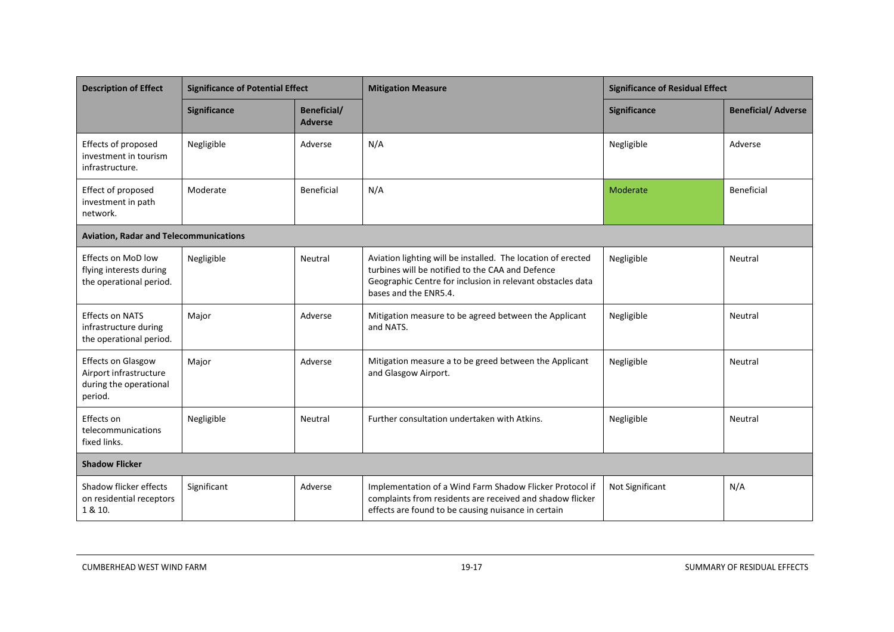| <b>Description of Effect</b>                                                             | <b>Significance of Potential Effect</b> |                               | <b>Mitigation Measure</b>                                                                                                                                                                               | <b>Significance of Residual Effect</b> |                            |
|------------------------------------------------------------------------------------------|-----------------------------------------|-------------------------------|---------------------------------------------------------------------------------------------------------------------------------------------------------------------------------------------------------|----------------------------------------|----------------------------|
|                                                                                          | <b>Significance</b>                     | Beneficial/<br><b>Adverse</b> |                                                                                                                                                                                                         | Significance                           | <b>Beneficial/ Adverse</b> |
| Effects of proposed<br>investment in tourism<br>infrastructure.                          | Negligible                              | Adverse                       | N/A                                                                                                                                                                                                     | Negligible                             | Adverse                    |
| Effect of proposed<br>investment in path<br>network.                                     | Moderate                                | Beneficial                    | N/A                                                                                                                                                                                                     | Moderate                               | <b>Beneficial</b>          |
| <b>Aviation, Radar and Telecommunications</b>                                            |                                         |                               |                                                                                                                                                                                                         |                                        |                            |
| Effects on MoD low<br>flying interests during<br>the operational period.                 | Negligible                              | Neutral                       | Aviation lighting will be installed. The location of erected<br>turbines will be notified to the CAA and Defence<br>Geographic Centre for inclusion in relevant obstacles data<br>bases and the ENR5.4. | Negligible                             | Neutral                    |
| <b>Effects on NATS</b><br>infrastructure during<br>the operational period.               | Major                                   | Adverse                       | Mitigation measure to be agreed between the Applicant<br>and NATS.                                                                                                                                      | Negligible                             | Neutral                    |
| <b>Effects on Glasgow</b><br>Airport infrastructure<br>during the operational<br>period. | Major                                   | Adverse                       | Mitigation measure a to be greed between the Applicant<br>and Glasgow Airport.                                                                                                                          | Negligible                             | Neutral                    |
| Effects on<br>telecommunications<br>fixed links.                                         | Negligible                              | Neutral                       | Further consultation undertaken with Atkins.                                                                                                                                                            | Negligible                             | Neutral                    |
| <b>Shadow Flicker</b>                                                                    |                                         |                               |                                                                                                                                                                                                         |                                        |                            |
| Shadow flicker effects<br>on residential receptors<br>1 & 10.                            | Significant                             | Adverse                       | Implementation of a Wind Farm Shadow Flicker Protocol if<br>complaints from residents are received and shadow flicker<br>effects are found to be causing nuisance in certain                            | Not Significant                        | N/A                        |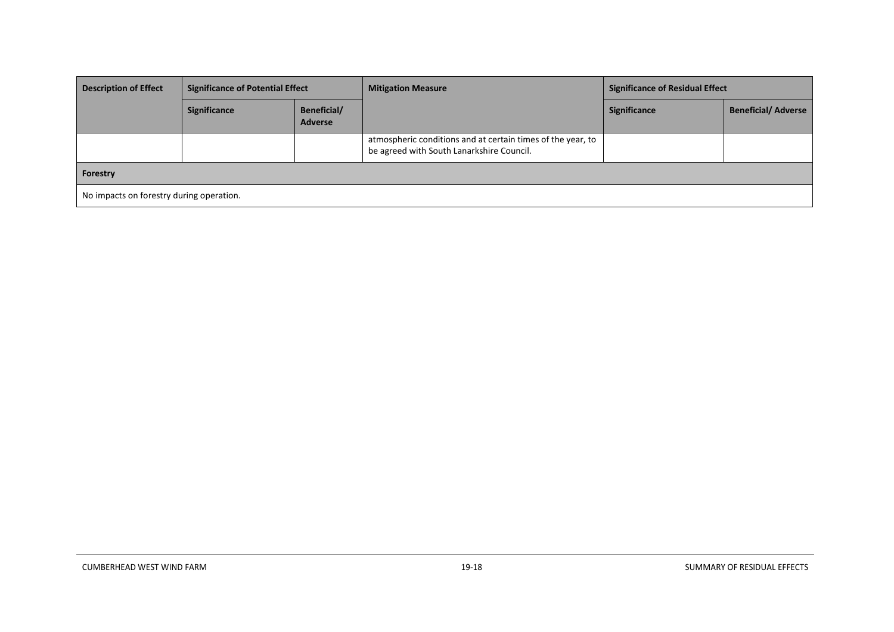| <b>Description of Effect</b> | <b>Significance of Potential Effect</b>  |                               | <b>Mitigation Measure</b>                                                                                | <b>Significance of Residual Effect</b> |                           |  |  |
|------------------------------|------------------------------------------|-------------------------------|----------------------------------------------------------------------------------------------------------|----------------------------------------|---------------------------|--|--|
|                              | <b>Significance</b>                      | Beneficial/<br><b>Adverse</b> |                                                                                                          | Significance                           | <b>Beneficial/Adverse</b> |  |  |
|                              |                                          |                               | atmospheric conditions and at certain times of the year, to<br>be agreed with South Lanarkshire Council. |                                        |                           |  |  |
| Forestry                     |                                          |                               |                                                                                                          |                                        |                           |  |  |
|                              | No impacts on forestry during operation. |                               |                                                                                                          |                                        |                           |  |  |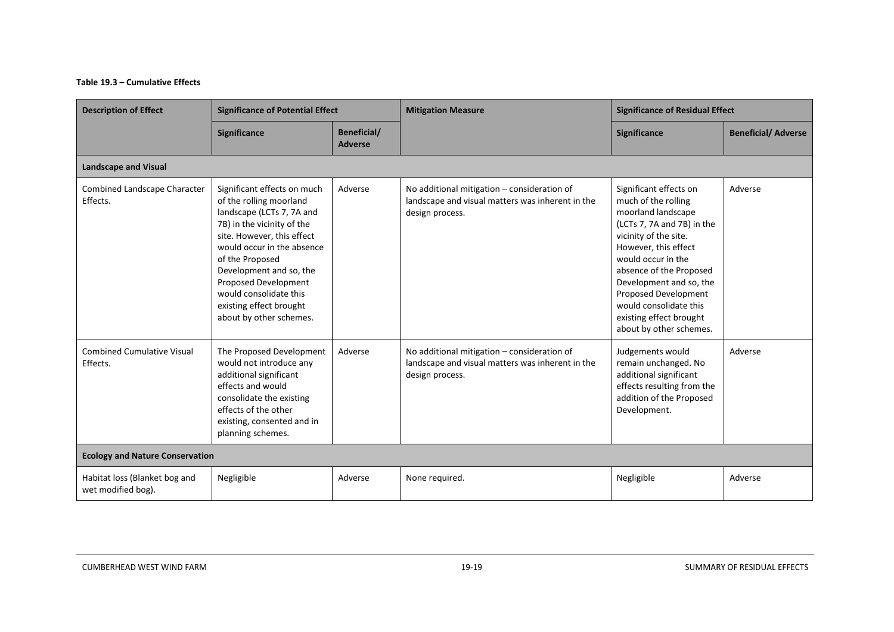#### **Table 19.3 – Cumulative Effects**

<span id="page-20-0"></span>

| <b>Description of Effect</b>                        | <b>Significance of Potential Effect</b>                                                                                                                                                                                                                                                                                             |                               | <b>Mitigation Measure</b>                                                                                          | <b>Significance of Residual Effect</b>                                                                                                                                                                                                                                                                                                 |                           |
|-----------------------------------------------------|-------------------------------------------------------------------------------------------------------------------------------------------------------------------------------------------------------------------------------------------------------------------------------------------------------------------------------------|-------------------------------|--------------------------------------------------------------------------------------------------------------------|----------------------------------------------------------------------------------------------------------------------------------------------------------------------------------------------------------------------------------------------------------------------------------------------------------------------------------------|---------------------------|
|                                                     | <b>Significance</b>                                                                                                                                                                                                                                                                                                                 | Beneficial/<br><b>Adverse</b> |                                                                                                                    | <b>Significance</b>                                                                                                                                                                                                                                                                                                                    | <b>Beneficial/Adverse</b> |
| <b>Landscape and Visual</b>                         |                                                                                                                                                                                                                                                                                                                                     |                               |                                                                                                                    |                                                                                                                                                                                                                                                                                                                                        |                           |
| Combined Landscape Character<br>Effects.            | Significant effects on much<br>of the rolling moorland<br>landscape (LCTs 7, 7A and<br>7B) in the vicinity of the<br>site. However, this effect<br>would occur in the absence<br>of the Proposed<br>Development and so, the<br>Proposed Development<br>would consolidate this<br>existing effect brought<br>about by other schemes. | Adverse                       | No additional mitigation - consideration of<br>landscape and visual matters was inherent in the<br>design process. | Significant effects on<br>much of the rolling<br>moorland landscape<br>(LCTs 7, 7A and 7B) in the<br>vicinity of the site.<br>However, this effect<br>would occur in the<br>absence of the Proposed<br>Development and so, the<br>Proposed Development<br>would consolidate this<br>existing effect brought<br>about by other schemes. | Adverse                   |
| <b>Combined Cumulative Visual</b><br>Effects.       | The Proposed Development<br>would not introduce any<br>additional significant<br>effects and would<br>consolidate the existing<br>effects of the other<br>existing, consented and in<br>planning schemes.                                                                                                                           | Adverse                       | No additional mitigation - consideration of<br>landscape and visual matters was inherent in the<br>design process. | Judgements would<br>remain unchanged. No<br>additional significant<br>effects resulting from the<br>addition of the Proposed<br>Development.                                                                                                                                                                                           | Adverse                   |
| <b>Ecology and Nature Conservation</b>              |                                                                                                                                                                                                                                                                                                                                     |                               |                                                                                                                    |                                                                                                                                                                                                                                                                                                                                        |                           |
| Habitat loss (Blanket bog and<br>wet modified bog). | Negligible                                                                                                                                                                                                                                                                                                                          | Adverse                       | None required.                                                                                                     | Negligible                                                                                                                                                                                                                                                                                                                             | Adverse                   |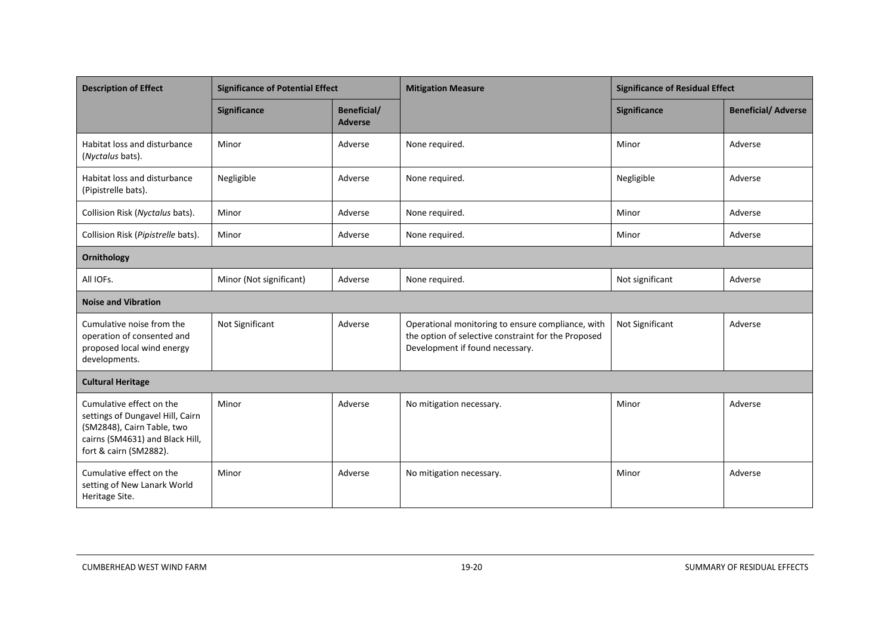| <b>Description of Effect</b>                                                                                                                            | <b>Significance of Potential Effect</b> |                               | <b>Mitigation Measure</b>                                                                                                                   | <b>Significance of Residual Effect</b> |                            |
|---------------------------------------------------------------------------------------------------------------------------------------------------------|-----------------------------------------|-------------------------------|---------------------------------------------------------------------------------------------------------------------------------------------|----------------------------------------|----------------------------|
|                                                                                                                                                         | <b>Significance</b>                     | Beneficial/<br><b>Adverse</b> |                                                                                                                                             | Significance                           | <b>Beneficial/ Adverse</b> |
| Habitat loss and disturbance<br>(Nyctalus bats).                                                                                                        | Minor                                   | Adverse                       | None required.                                                                                                                              | Minor                                  | Adverse                    |
| Habitat loss and disturbance<br>(Pipistrelle bats).                                                                                                     | Negligible                              | Adverse                       | None required.                                                                                                                              | Negligible                             | Adverse                    |
| Collision Risk (Nyctalus bats).                                                                                                                         | Minor                                   | Adverse                       | None required.                                                                                                                              | Minor                                  | Adverse                    |
| Collision Risk (Pipistrelle bats).                                                                                                                      | Minor                                   | Adverse                       | None required.                                                                                                                              | Minor                                  | Adverse                    |
| <b>Ornithology</b>                                                                                                                                      |                                         |                               |                                                                                                                                             |                                        |                            |
| All IOFs.                                                                                                                                               | Minor (Not significant)                 | Adverse                       | None required.                                                                                                                              | Not significant                        | Adverse                    |
| <b>Noise and Vibration</b>                                                                                                                              |                                         |                               |                                                                                                                                             |                                        |                            |
| Cumulative noise from the<br>operation of consented and<br>proposed local wind energy<br>developments.                                                  | Not Significant                         | Adverse                       | Operational monitoring to ensure compliance, with<br>the option of selective constraint for the Proposed<br>Development if found necessary. | Not Significant                        | Adverse                    |
| <b>Cultural Heritage</b>                                                                                                                                |                                         |                               |                                                                                                                                             |                                        |                            |
| Cumulative effect on the<br>settings of Dungavel Hill, Cairn<br>(SM2848), Cairn Table, two<br>cairns (SM4631) and Black Hill,<br>fort & cairn (SM2882). | Minor                                   | Adverse                       | No mitigation necessary.                                                                                                                    | Minor                                  | Adverse                    |
| Cumulative effect on the<br>setting of New Lanark World<br>Heritage Site.                                                                               | Minor                                   | Adverse                       | No mitigation necessary.                                                                                                                    | Minor                                  | Adverse                    |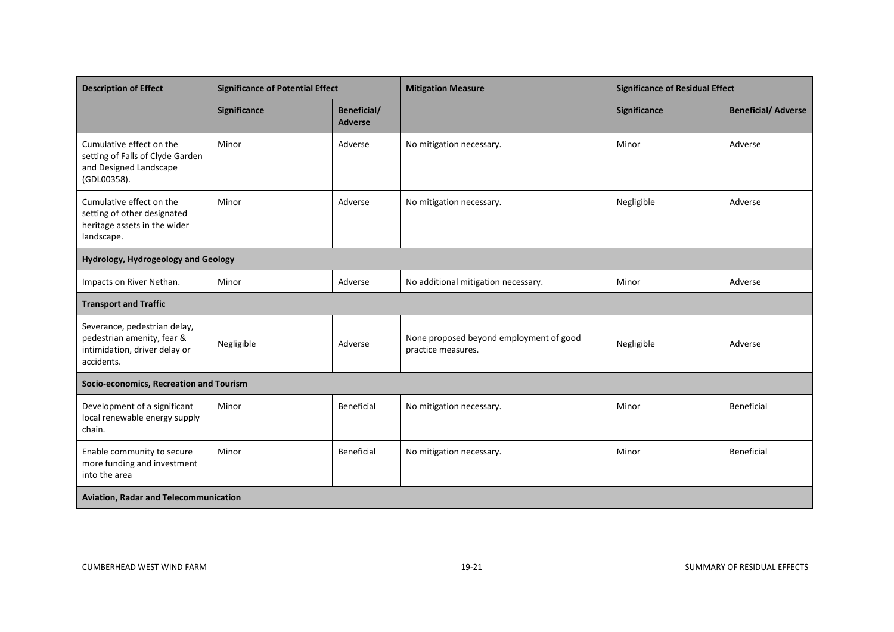| <b>Description of Effect</b>                                                                              | <b>Significance of Potential Effect</b>    |                               | <b>Mitigation Measure</b>                                     | <b>Significance of Residual Effect</b> |                            |  |  |
|-----------------------------------------------------------------------------------------------------------|--------------------------------------------|-------------------------------|---------------------------------------------------------------|----------------------------------------|----------------------------|--|--|
|                                                                                                           | Significance                               | Beneficial/<br><b>Adverse</b> |                                                               | Significance                           | <b>Beneficial/ Adverse</b> |  |  |
| Cumulative effect on the<br>setting of Falls of Clyde Garden<br>and Designed Landscape<br>(GDL00358).     | Minor                                      | Adverse                       | No mitigation necessary.                                      | Minor                                  | Adverse                    |  |  |
| Cumulative effect on the<br>setting of other designated<br>heritage assets in the wider<br>landscape.     | Minor                                      | Adverse                       | No mitigation necessary.                                      | Negligible                             | Adverse                    |  |  |
|                                                                                                           | <b>Hydrology, Hydrogeology and Geology</b> |                               |                                                               |                                        |                            |  |  |
| Impacts on River Nethan.                                                                                  | Minor                                      | Adverse                       | No additional mitigation necessary.                           | Minor                                  | Adverse                    |  |  |
| <b>Transport and Traffic</b>                                                                              |                                            |                               |                                                               |                                        |                            |  |  |
| Severance, pedestrian delay,<br>pedestrian amenity, fear &<br>intimidation, driver delay or<br>accidents. | Negligible                                 | Adverse                       | None proposed beyond employment of good<br>practice measures. | Negligible                             | Adverse                    |  |  |
| Socio-economics, Recreation and Tourism                                                                   |                                            |                               |                                                               |                                        |                            |  |  |
| Development of a significant<br>local renewable energy supply<br>chain.                                   | Minor                                      | Beneficial                    | No mitigation necessary.                                      | Minor                                  | Beneficial                 |  |  |
| Enable community to secure<br>more funding and investment<br>into the area                                | Minor                                      | Beneficial                    | No mitigation necessary.                                      | Minor                                  | Beneficial                 |  |  |
| Aviation, Radar and Telecommunication                                                                     |                                            |                               |                                                               |                                        |                            |  |  |